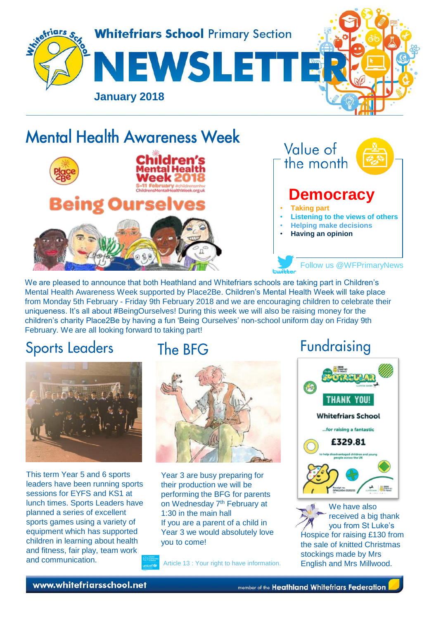

# **Mental Health Awareness Week**

**Being Ourselves** 



Value of the month

#### **Democracy**

- **Taking part**
- **Listening to the views of others**

Follow us @WFPrimaryNews

- **Helping make decisions**
- **Having an opinion**

We are pleased to announce that both Heathland and Whitefriars schools are taking part in Children's Mental Health Awareness Week supported by Place2Be. Children's Mental Health Week will take place from Monday 5th February - Friday 9th February 2018 and we are encouraging children to celebrate their uniqueness. It's all about #BeingOurselves! During this week we will also be raising money for the children's charity Place2Be by having a fun 'Being Ourselves' non-school uniform day on Friday 9th February. We are all looking forward to taking part!

## **Sports Leaders**



This term Year 5 and 6 sports leaders have been running sports sessions for EYFS and KS1 at lunch times. Sports Leaders have planned a series of excellent sports games using a variety of equipment which has supported children in learning about health and fitness, fair play, team work and communication.

### The BFG

Idren



Year 3 are busy preparing for their production we will be performing the BFG for parents on Wednesday 7<sup>th</sup> February at 1:30 in the main hall If you are a parent of a child in Year 3 we would absolutely love you to come!

Article 13 : Your right to have information.

## Fundraising



We have also received a big thank you from St Luke's [Hospice](https://www.google.co.uk/url?sa=i&rct=j&q=&esrc=s&source=images&cd=&cad=rja&uact=8&ved=0ahUKEwi92fTjvv3YAhUE0xQKHSQ2CZ8QjRwIBw&url=https://amylouisebrown.wordpress.com/charity-work/midnight-walk/&psig=AOvVaw2DHw_SVnGMe78leCS3fUwi&ust=1517326217299032) for raising £130 from the sale of knitted Christmas stockings made by Mrs English and Mrs Millwood.